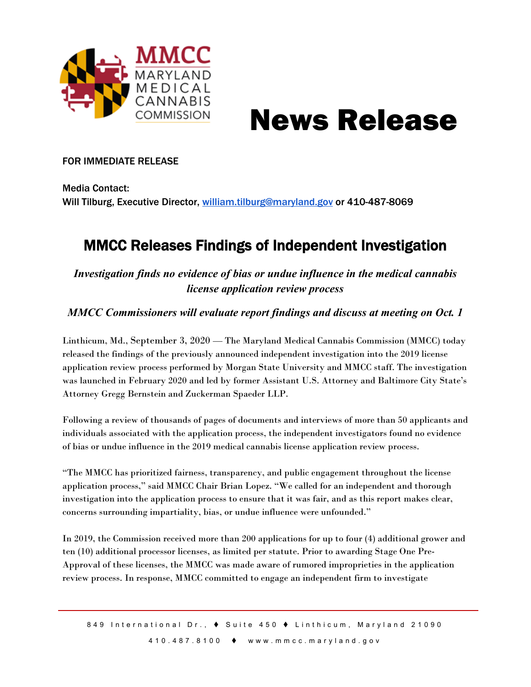

# News Release

## FOR IMMEDIATE RELEASE

Media Contact: Will Tilburg, Executive Director, [william.tilburg@maryland.gov](mailto:william.tilburg@maryland.gov) or 410-487-8069

## MMCC Releases Findings of Independent Investigation

*Investigation finds no evidence of bias or undue influence in the medical cannabis license application review process*

*MMCC Commissioners will evaluate report findings and discuss at meeting on Oct. 1*

Linthicum, Md., September 3, 2020 — The Maryland Medical Cannabis Commission (MMCC) today released the findings of the previously announced independent investigation into the 2019 license application review process performed by Morgan State University and MMCC staff. The investigation was launched in February 2020 and led by former Assistant U.S. Attorney and Baltimore City State's Attorney Gregg Bernstein and Zuckerman Spaeder LLP.

Following a review of thousands of pages of documents and interviews of more than 50 applicants and individuals associated with the application process, the independent investigators found no evidence of bias or undue influence in the 2019 medical cannabis license application review process.

"The MMCC has prioritized fairness, transparency, and public engagement throughout the license application process," said MMCC Chair Brian Lopez. "We called for an independent and thorough investigation into the application process to ensure that it was fair, and as this report makes clear, concerns surrounding impartiality, bias, or undue influence were unfounded."

In 2019, the Commission received more than 200 applications for up to four (4) additional grower and ten (10) additional processor licenses, as limited per statute. Prior to awarding Stage One Pre-Approval of these licenses, the MMCC was made aware of rumored improprieties in the application review process. In response, MMCC committed to engage an independent firm to investigate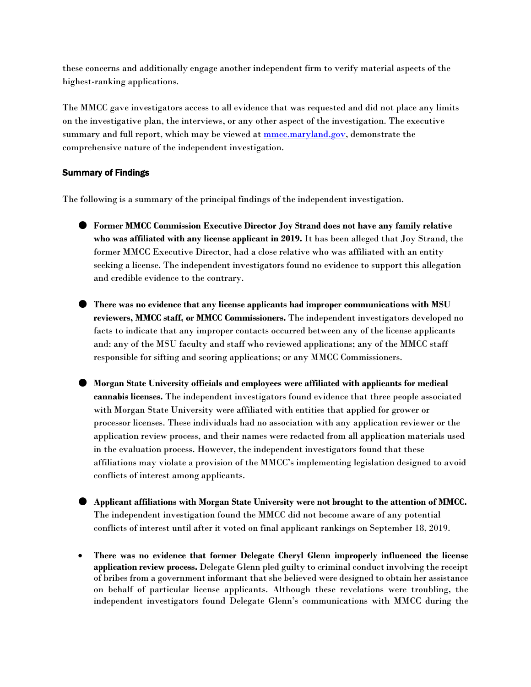these concerns and additionally engage another independent firm to verify material aspects of the highest-ranking applications.

The MMCC gave investigators access to all evidence that was requested and did not place any limits on the investigative plan, the interviews, or any other aspect of the investigation. The executive summary and full report, which may be viewed at  $\frac{mmc}{m}$  and  $\frac{q}{q}$ , demonstrate the comprehensive nature of the independent investigation.

### Summary of Findings

The following is a summary of the principal findings of the independent investigation.

- **Former MMCC Commission Executive Director Joy Strand does not have any family relative who was affiliated with any license applicant in 2019.** It has been alleged that Joy Strand, the former MMCC Executive Director, had a close relative who was affiliated with an entity seeking a license. The independent investigators found no evidence to support this allegation and credible evidence to the contrary.
- **There was no evidence that any license applicants had improper communications with MSU reviewers, MMCC staff, or MMCC Commissioners.** The independent investigators developed no facts to indicate that any improper contacts occurred between any of the license applicants and: any of the MSU faculty and staff who reviewed applications; any of the MMCC staff responsible for sifting and scoring applications; or any MMCC Commissioners.
- **Morgan State University officials and employees were affiliated with applicants for medical cannabis licenses.** The independent investigators found evidence that three people associated with Morgan State University were affiliated with entities that applied for grower or processor licenses. These individuals had no association with any application reviewer or the application review process, and their names were redacted from all application materials used in the evaluation process. However, the independent investigators found that these affiliations may violate a provision of the MMCC's implementing legislation designed to avoid conflicts of interest among applicants.
- **Applicant affiliations with Morgan State University were not brought to the attention of MMCC.** The independent investigation found the MMCC did not become aware of any potential conflicts of interest until after it voted on final applicant rankings on September 18, 2019.
- **There was no evidence that former Delegate Cheryl Glenn improperly influenced the license application review process.** Delegate Glenn pled guilty to criminal conduct involving the receipt of bribes from a government informant that she believed were designed to obtain her assistance on behalf of particular license applicants. Although these revelations were troubling, the independent investigators found Delegate Glenn's communications with MMCC during the